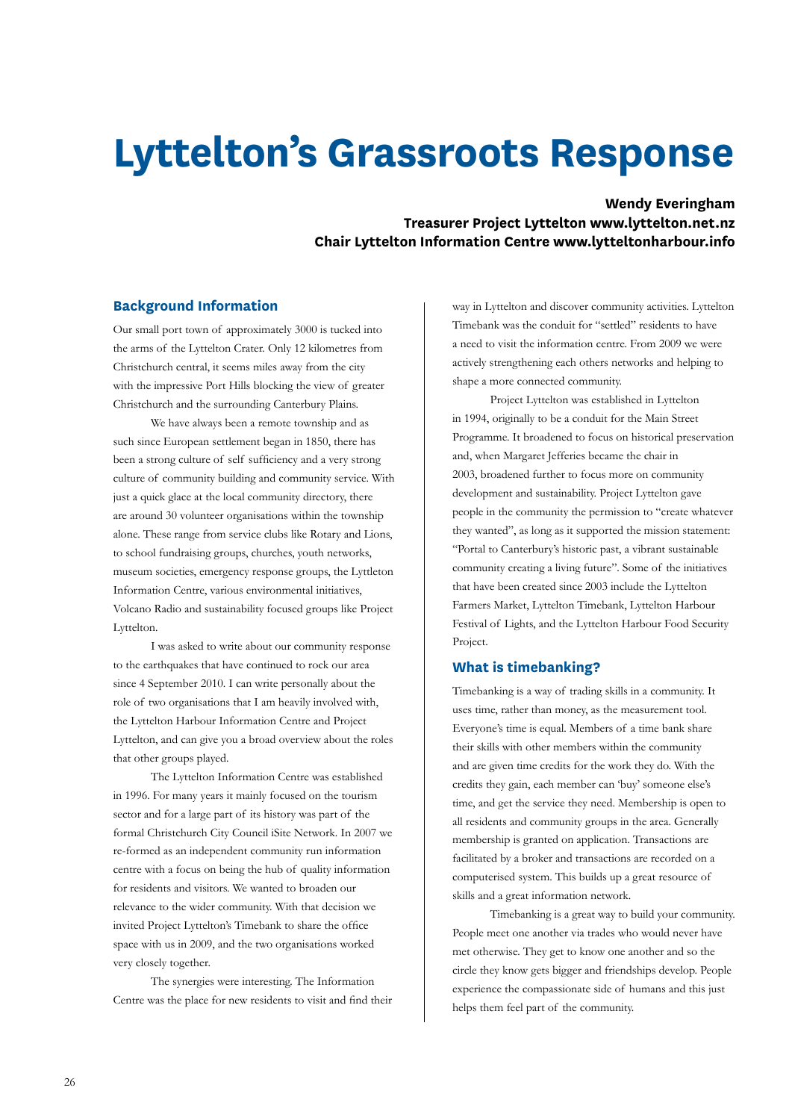# **Lyttelton's Grassroots Response**

**Wendy Everingham** 

**Treasurer Project Lyttelton www.lyttelton.net.nz Chair Lyttelton Information Centre www.lytteltonharbour.info**

## **Background Information**

Our small port town of approximately 3000 is tucked into the arms of the Lyttelton Crater. Only 12 kilometres from Christchurch central, it seems miles away from the city with the impressive Port Hills blocking the view of greater Christchurch and the surrounding Canterbury Plains.

We have always been a remote township and as such since European settlement began in 1850, there has been a strong culture of self sufficiency and a very strong culture of community building and community service. With just a quick glace at the local community directory, there are around 30 volunteer organisations within the township alone. These range from service clubs like Rotary and Lions, to school fundraising groups, churches, youth networks, museum societies, emergency response groups, the Lyttleton Information Centre, various environmental initiatives, Volcano Radio and sustainability focused groups like Project Lyttelton.

I was asked to write about our community response to the earthquakes that have continued to rock our area since 4 September 2010. I can write personally about the role of two organisations that I am heavily involved with, the Lyttelton Harbour Information Centre and Project Lyttelton, and can give you a broad overview about the roles that other groups played.

The Lyttelton Information Centre was established in 1996. For many years it mainly focused on the tourism sector and for a large part of its history was part of the formal Christchurch City Council iSite Network. In 2007 we re-formed as an independent community run information centre with a focus on being the hub of quality information for residents and visitors. We wanted to broaden our relevance to the wider community. With that decision we invited Project Lyttelton's Timebank to share the office space with us in 2009, and the two organisations worked very closely together.

The synergies were interesting. The Information Centre was the place for new residents to visit and find their

way in Lyttelton and discover community activities. Lyttelton Timebank was the conduit for "settled" residents to have a need to visit the information centre. From 2009 we were actively strengthening each others networks and helping to shape a more connected community.

Project Lyttelton was established in Lyttelton in 1994, originally to be a conduit for the Main Street Programme. It broadened to focus on historical preservation and, when Margaret Jefferies became the chair in 2003, broadened further to focus more on community development and sustainability. Project Lyttelton gave people in the community the permission to "create whatever they wanted", as long as it supported the mission statement: "Portal to Canterbury's historic past, a vibrant sustainable community creating a living future". Some of the initiatives that have been created since 2003 include the Lyttelton Farmers Market, Lyttelton Timebank, Lyttelton Harbour Festival of Lights, and the Lyttelton Harbour Food Security Project.

#### **What is timebanking?**

Timebanking is a way of trading skills in a community. It uses time, rather than money, as the measurement tool. Everyone's time is equal. Members of a time bank share their skills with other members within the community and are given time credits for the work they do. With the credits they gain, each member can 'buy' someone else's time, and get the service they need. Membership is open to all residents and community groups in the area. Generally membership is granted on application. Transactions are facilitated by a broker and transactions are recorded on a computerised system. This builds up a great resource of skills and a great information network.

Timebanking is a great way to build your community. People meet one another via trades who would never have met otherwise. They get to know one another and so the circle they know gets bigger and friendships develop. People experience the compassionate side of humans and this just helps them feel part of the community.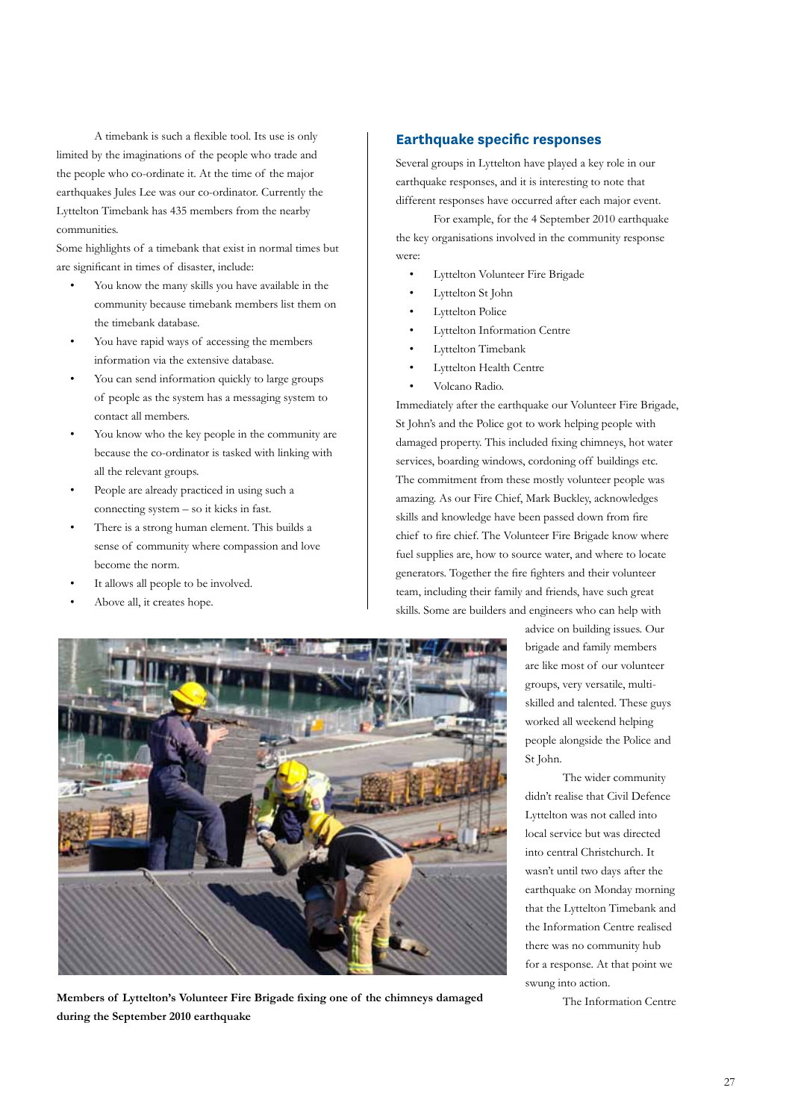A timebank is such a flexible tool. Its use is only limited by the imaginations of the people who trade and the people who co-ordinate it. At the time of the major earthquakes Jules Lee was our co-ordinator. Currently the Lyttelton Timebank has 435 members from the nearby communities.

Some highlights of a timebank that exist in normal times but are significant in times of disaster, include:

- You know the many skills you have available in the community because timebank members list them on the timebank database.
- You have rapid ways of accessing the members information via the extensive database.
- You can send information quickly to large groups of people as the system has a messaging system to contact all members.
- You know who the key people in the community are because the co-ordinator is tasked with linking with all the relevant groups.
- People are already practiced in using such a connecting system – so it kicks in fast.
- There is a strong human element. This builds a sense of community where compassion and love become the norm.
- It allows all people to be involved.
- Above all, it creates hope.

# **Earthquake specific responses**

Several groups in Lyttelton have played a key role in our earthquake responses, and it is interesting to note that different responses have occurred after each major event.

For example, for the 4 September 2010 earthquake the key organisations involved in the community response were:

- Lyttelton Volunteer Fire Brigade
- Lyttelton St John
- Lyttelton Police
- Lyttelton Information Centre
- Lyttelton Timebank
- Lyttelton Health Centre
- Volcano Radio.

Immediately after the earthquake our Volunteer Fire Brigade, St John's and the Police got to work helping people with damaged property. This included fixing chimneys, hot water services, boarding windows, cordoning off buildings etc. The commitment from these mostly volunteer people was amazing. As our Fire Chief, Mark Buckley, acknowledges skills and knowledge have been passed down from fire chief to fire chief. The Volunteer Fire Brigade know where fuel supplies are, how to source water, and where to locate generators. Together the fire fighters and their volunteer team, including their family and friends, have such great skills. Some are builders and engineers who can help with



Members of Lyttelton's Volunteer Fire Brigade fixing one of the chimneys damaged The Information Centre **during the September 2010 earthquake**

advice on building issues. Our brigade and family members are like most of our volunteer groups, very versatile, multiskilled and talented. These guys worked all weekend helping people alongside the Police and St John.

The wider community didn't realise that Civil Defence Lyttelton was not called into local service but was directed into central Christchurch. It wasn't until two days after the earthquake on Monday morning that the Lyttelton Timebank and the Information Centre realised there was no community hub for a response. At that point we swung into action.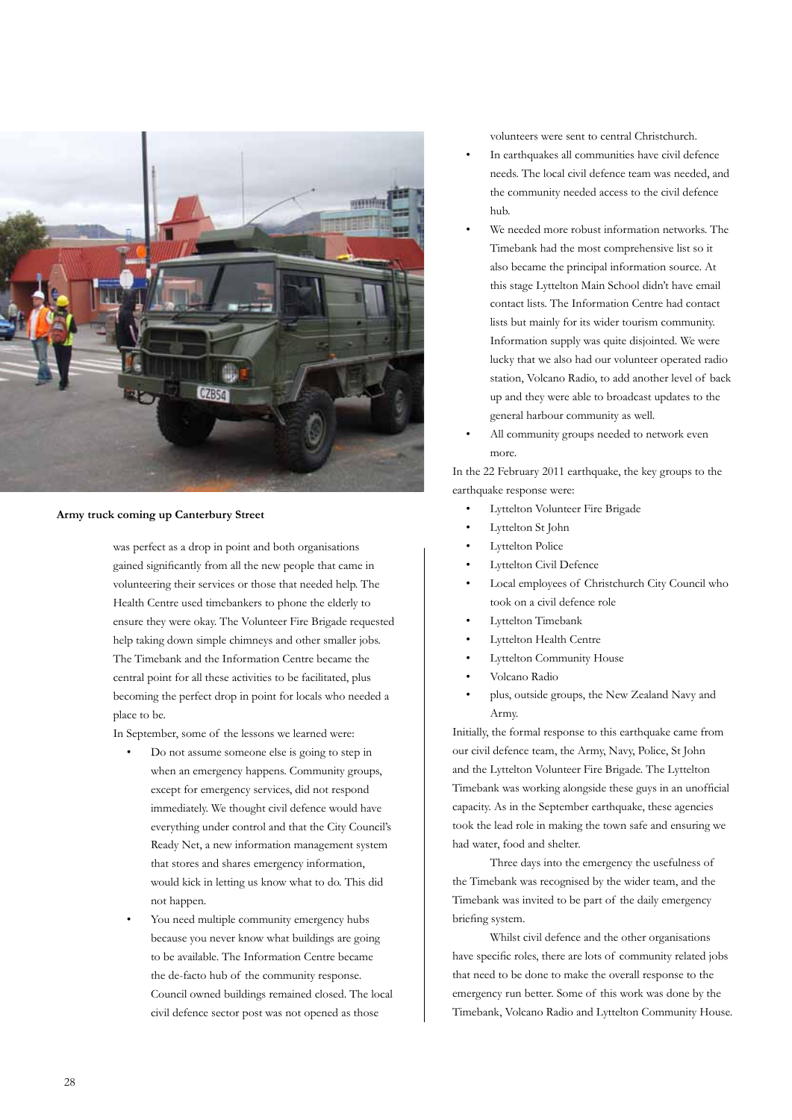

### **Army truck coming up Canterbury Street**

was perfect as a drop in point and both organisations gained significantly from all the new people that came in volunteering their services or those that needed help. The Health Centre used timebankers to phone the elderly to ensure they were okay. The Volunteer Fire Brigade requested help taking down simple chimneys and other smaller jobs. The Timebank and the Information Centre became the central point for all these activities to be facilitated, plus becoming the perfect drop in point for locals who needed a place to be.

In September, some of the lessons we learned were:

- Do not assume someone else is going to step in when an emergency happens. Community groups, except for emergency services, did not respond immediately. We thought civil defence would have everything under control and that the City Council's Ready Net, a new information management system that stores and shares emergency information, would kick in letting us know what to do. This did not happen.
- You need multiple community emergency hubs because you never know what buildings are going to be available. The Information Centre became the de-facto hub of the community response. Council owned buildings remained closed. The local civil defence sector post was not opened as those

volunteers were sent to central Christchurch.

- In earthquakes all communities have civil defence needs. The local civil defence team was needed, and the community needed access to the civil defence hub.
- We needed more robust information networks. The Timebank had the most comprehensive list so it also became the principal information source. At this stage Lyttelton Main School didn't have email contact lists. The Information Centre had contact lists but mainly for its wider tourism community. Information supply was quite disjointed. We were lucky that we also had our volunteer operated radio station, Volcano Radio, to add another level of back up and they were able to broadcast updates to the general harbour community as well.
- All community groups needed to network even more.

In the 22 February 2011 earthquake, the key groups to the earthquake response were:

- Lyttelton Volunteer Fire Brigade
- Lyttelton St John
- Lyttelton Police
- Lyttelton Civil Defence
- Local employees of Christchurch City Council who took on a civil defence role
- Lyttelton Timebank
- Lyttelton Health Centre
- Lyttelton Community House
- Volcano Radio
- plus, outside groups, the New Zealand Navy and Army.

Initially, the formal response to this earthquake came from our civil defence team, the Army, Navy, Police, St John and the Lyttelton Volunteer Fire Brigade. The Lyttelton Timebank was working alongside these guys in an unofficial capacity. As in the September earthquake, these agencies took the lead role in making the town safe and ensuring we had water, food and shelter.

Three days into the emergency the usefulness of the Timebank was recognised by the wider team, and the Timebank was invited to be part of the daily emergency briefing system.

Whilst civil defence and the other organisations have specific roles, there are lots of community related jobs that need to be done to make the overall response to the emergency run better. Some of this work was done by the Timebank, Volcano Radio and Lyttelton Community House.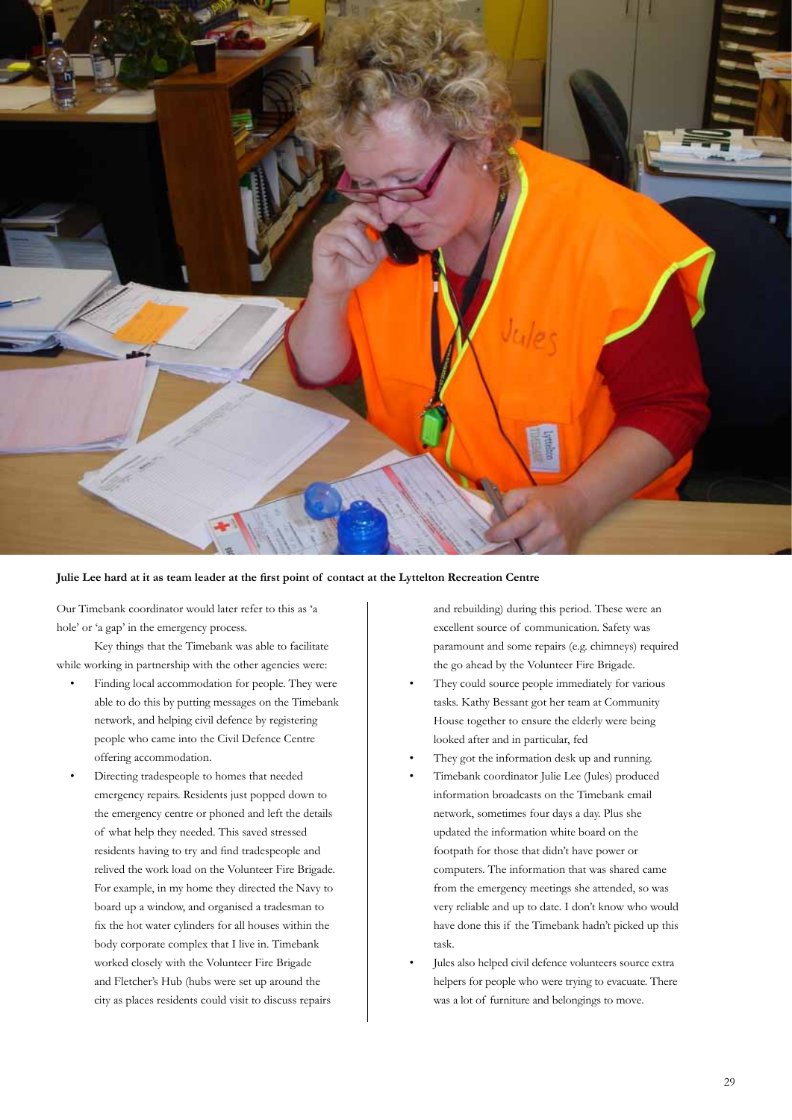

#### **Julie Lee hard at it as team leader at the first point of contact at the Lyttelton Recreation Centre**

Our Timebank coordinator would later refer to this as 'a hole' or 'a gap' in the emergency process.

Key things that the Timebank was able to facilitate while working in partnership with the other agencies were:

- Finding local accommodation for people. They were able to do this by putting messages on the Timebank network, and helping civil defence by registering people who came into the Civil Defence Centre offering accommodation.
- Directing tradespeople to homes that needed emergency repairs. Residents just popped down to the emergency centre or phoned and left the details of what help they needed. This saved stressed residents having to try and find tradespeople and relived the work load on the Volunteer Fire Brigade. For example, in my home they directed the Navy to board up a window, and organised a tradesman to fix the hot water cylinders for all houses within the body corporate complex that I live in. Timebank worked closely with the Volunteer Fire Brigade and Fletcher's Hub (hubs were set up around the city as places residents could visit to discuss repairs

and rebuilding) during this period. These were an excellent source of communication. Safety was paramount and some repairs (e.g. chimneys) required the go ahead by the Volunteer Fire Brigade.

- They could source people immediately for various tasks. Kathy Bessant got her team at Community House together to ensure the elderly were being looked after and in particular, fed
- They got the information desk up and running.
- Timebank coordinator Julie Lee (Jules) produced information broadcasts on the Timebank email network, sometimes four days a day. Plus she updated the information white board on the footpath for those that didn't have power or computers. The information that was shared came from the emergency meetings she attended, so was very reliable and up to date. I don't know who would have done this if the Timebank hadn't picked up this task.
- Jules also helped civil defence volunteers source extra helpers for people who were trying to evacuate. There was a lot of furniture and belongings to move.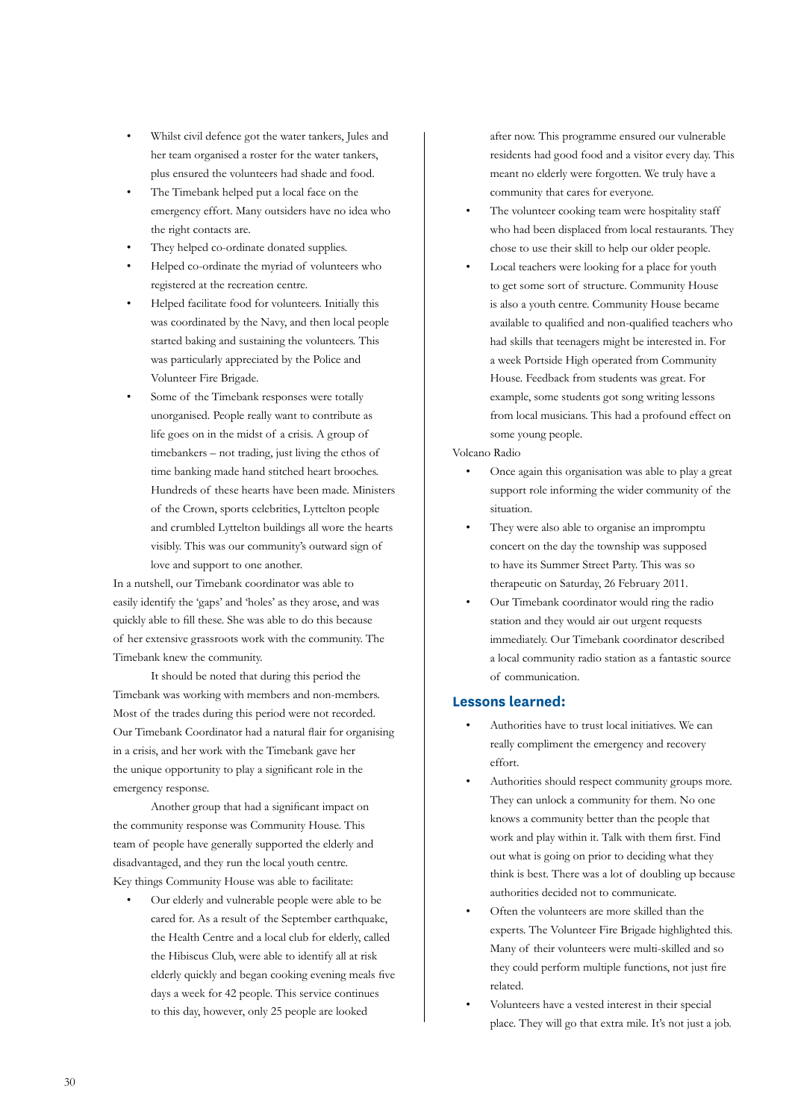- Whilst civil defence got the water tankers, Jules and her team organised a roster for the water tankers, plus ensured the volunteers had shade and food.
- The Timebank helped put a local face on the emergency effort. Many outsiders have no idea who the right contacts are.
- They helped co-ordinate donated supplies.
- Helped co-ordinate the myriad of volunteers who registered at the recreation centre.
- Helped facilitate food for volunteers. Initially this was coordinated by the Navy, and then local people started baking and sustaining the volunteers. This was particularly appreciated by the Police and Volunteer Fire Brigade.
- Some of the Timebank responses were totally unorganised. People really want to contribute as life goes on in the midst of a crisis. A group of timebankers – not trading, just living the ethos of time banking made hand stitched heart brooches. Hundreds of these hearts have been made. Ministers of the Crown, sports celebrities, Lyttelton people and crumbled Lyttelton buildings all wore the hearts visibly. This was our community's outward sign of love and support to one another.

In a nutshell, our Timebank coordinator was able to easily identify the 'gaps' and 'holes' as they arose, and was quickly able to fill these. She was able to do this because of her extensive grassroots work with the community. The Timebank knew the community.

It should be noted that during this period the Timebank was working with members and non-members. Most of the trades during this period were not recorded. Our Timebank Coordinator had a natural flair for organising in a crisis, and her work with the Timebank gave her the unique opportunity to play a significant role in the emergency response.

Another group that had a significant impact on the community response was Community House. This team of people have generally supported the elderly and disadvantaged, and they run the local youth centre. Key things Community House was able to facilitate:

• Our elderly and vulnerable people were able to be cared for. As a result of the September earthquake, the Health Centre and a local club for elderly, called the Hibiscus Club, were able to identify all at risk elderly quickly and began cooking evening meals five days a week for 42 people. This service continues to this day, however, only 25 people are looked

after now. This programme ensured our vulnerable residents had good food and a visitor every day. This meant no elderly were forgotten. We truly have a community that cares for everyone.

- The volunteer cooking team were hospitality staff who had been displaced from local restaurants. They chose to use their skill to help our older people.
- Local teachers were looking for a place for youth to get some sort of structure. Community House is also a youth centre. Community House became available to qualified and non-qualified teachers who had skills that teenagers might be interested in. For a week Portside High operated from Community House. Feedback from students was great. For example, some students got song writing lessons from local musicians. This had a profound effect on some young people.

#### Volcano Radio

- Once again this organisation was able to play a great support role informing the wider community of the situation.
- They were also able to organise an impromptu concert on the day the township was supposed to have its Summer Street Party. This was so therapeutic on Saturday, 26 February 2011.
- Our Timebank coordinator would ring the radio station and they would air out urgent requests immediately. Our Timebank coordinator described a local community radio station as a fantastic source of communication.

#### **Lessons learned:**

- Authorities have to trust local initiatives. We can really compliment the emergency and recovery effort.
- Authorities should respect community groups more. They can unlock a community for them. No one knows a community better than the people that work and play within it. Talk with them first. Find out what is going on prior to deciding what they think is best. There was a lot of doubling up because authorities decided not to communicate.
- Often the volunteers are more skilled than the experts. The Volunteer Fire Brigade highlighted this. Many of their volunteers were multi-skilled and so they could perform multiple functions, not just fire related.
- Volunteers have a vested interest in their special place. They will go that extra mile. It's not just a job.